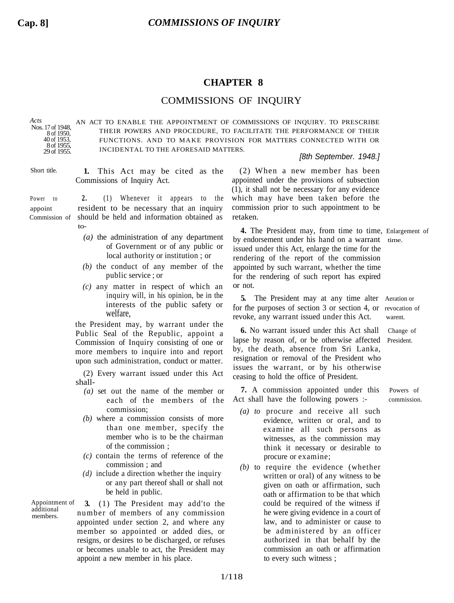## **CHAPTER 8**

## COMMISSIONS OF INQUIRY

*Acts* Nos. 17 of 1948,

8 of 1950<sup>2</sup> 40 of 1953, 8 of 1955 29 of 1955. AN ACT TO ENABLE THE APPOINTMENT OF COMMISSIONS OF INQUIRY. TO PRESCRIBE THEIR POWERS AND PROCEDURE, TO FACILITATE THE PERFORMANCE OF THEIR FUNCTIONS. AND TO MAKE PROVISION FOR MATTERS CONNECTED WITH OR INCIDENTAL TO THE AFORESAID MATTERS.

## *[8th September. 1948.]*

Short title. **1.** This Act may be cited as the Commissions of Inquiry Act.

- Power to **2.** (1) Whenever it appears to the appoint resident to be necessary that an inquiry Commission of should be held and information obtained as  $t_0$ 
	- *(a)* the administration of any department of Government or of any public or local authority or institution ; or
	- *(b)* the conduct of any member of the public service ; or
	- *(c)* any matter in respect of which an inquiry will, in his opinion, be in the interests of the public safety or welfare,

the President may, by warrant under the Public Seal of the Republic, appoint a Commission of Inquiry consisting of one or more members to inquire into and report upon such administration, conduct or matter.

(2) Every warrant issued under this Act shall-

- *(a)* set out the name of the member or each of the members of the commission;
- *(b)* where a commission consists of more than one member, specify the member who is to be the chairman of the commission ;
- *(c)* contain the terms of reference of the commission ; and
- *(d)* include a direction whether the inquiry or any part thereof shall or shall not be held in public.

Appointment of additional members.

**3.** (1) The President may add'to the number of members of any commission appointed under section 2, and where any member so appointed or added dies, or resigns, or desires to be discharged, or refuses or becomes unable to act, the President may appoint a new member in his place.

(2) When a new member has been appointed under the provisions of subsection (1), it shall not be necessary for any evidence which may have been taken before the commission prior to such appointment to be retaken.

**4.** The President may, from time to time, Enlargement of by endorsement under his hand on a warrant time. issued under this Act, enlarge the time for the rendering of the report of the commission appointed by such warrant, whether the time for the rendering of such report has expired or not.

**5.** The President may at any time alter Aeration or for the purposes of section 3 or section 4, or revocation of revoke, any warrant issued under this Act. warent.

**6.** No warrant issued under this Act shall Change of lapse by reason of, or be otherwise affected President. by, the death, absence from Sri Lanka, resignation or removal of the President who issues the warrant, or by his otherwise ceasing to hold the office of President.

**7.** A commission appointed under this Powers of Act shall have the following powers :- commission.

- *(a) to* procure and receive all such evidence, written or oral, and to examine all such persons as witnesses, as the commission may think it necessary or desirable to procure or examine;
- *(b)* to require the evidence (whether written or oral) of any witness to be given on oath or affirmation, such oath or affirmation to be that which could be required of the witness if he were giving evidence in a court of law, and to administer or cause to be administered by an officer authorized in that behalf by the commission an oath or affirmation to every such witness ;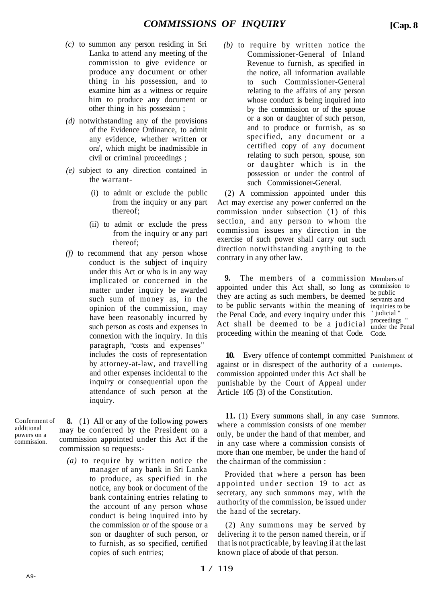- *(c)* to summon any person residing in Sri Lanka to attend any meeting of the commission to give evidence or produce any document or other thing in his possession, and to examine him as a witness or require him to produce any document or other thing in his possession ;
- *(d)* notwithstanding any of the provisions of the Evidence Ordinance, to admit any evidence, whether written or ora', which might be inadmissible in civil or criminal proceedings ;
- *(e)* subject to any direction contained in the warrant-
	- (i) to admit or exclude the public from the inquiry or any part thereof;
	- (ii) to admit or exclude the press from the inquiry or any part thereof;
- *(f)* to recommend that any person whose conduct is the subject of inquiry under this Act or who is in any way implicated or concerned in the matter under inquiry be awarded such sum of money as, in the opinion of the commission, may have been reasonably incurred by such person as costs and expenses in connexion with the inquiry. In this paragraph, "costs and expenses" includes the costs of representation by attorney-at-law, and travelling and other expenses incidental to the inquiry or consequential upon the attendance of such person at the inquiry.

Conferment of additional powers on a commission.

**8.** (1) All or any of the following powers may be conferred by the President on a commission appointed under this Act if the commission so requests:-

*(a)* to require by written notice the manager of any bank in Sri Lanka to produce, as specified in the notice, any book or document of the bank containing entries relating to the account of any person whose conduct is being inquired into by the commission or of the spouse or a son or daughter of such person, or to furnish, as so specified, certified copies of such entries;

*(b)* to require by written notice the Commissioner-General of Inland Revenue to furnish, as specified in the notice, all information available to such Commissioner-General relating to the affairs of any person whose conduct is being inquired into by the commission or of the spouse or a son or daughter of such person, and to produce or furnish, as so specified, any document or a certified copy of any document relating to such person, spouse, son or daughter which is in the possession or under the control of such Commissioner-General.

(2) A commission appointed under this Act may exercise any power conferred on the commission under subsection (1) of this section, and any person to whom the commission issues any direction in the exercise of such power shall carry out such direction notwithstanding anything to the contrary in any other law.

**9.** The members of a commission Members of appointed under this Act shall, so long as commission to they are acting as such members, be deemed to be public servants within the meaning of inquiries to be the Penal Code, and every inquiry under this "judicial" Act shall be deemed to be a judicial  $\frac{1}{\text{under the Per}}$ proceeding within the meaning of that Code. Code.

be public servants and under the Penal

**10.** Every offence of contempt committed Punishment of against or in disrespect of the authority of a contempts. commission appointed under this Act shall be punishable by the Court of Appeal under Article 105 (3) of the Constitution.

**11.** (1) Every summons shall, in any case Summons. where a commission consists of one member only, be under the hand of that member, and in any case where a commission consists of more than one member, be under the hand of the chairman of the commission :

Provided that where a person has been appointed under section 19 to act as secretary, any such summons may, with the authority of the commission, be issued under the hand of the secretary.

(2) Any summons may be served by delivering it to the person named therein, or if that is not practicable, by leaving il at the last known place of abode of that person.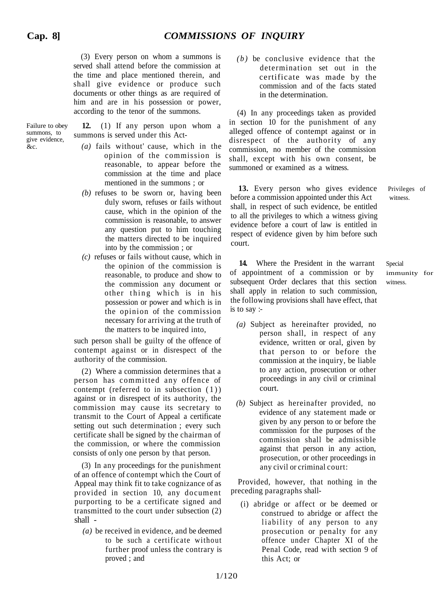(3) Every person on whom a summons is served shall attend before the commission at the time and place mentioned therein, and shall give evidence or produce such documents or other things as are required of him and are in his possession or power. according to the tenor of the summons.

Failure to obey summons, to give evidence,  $\&c$ .

**12.** (1) If any person upon whom a summons is served under this Act-

- *(a)* fails without' cause, which in the opinion of the commission is reasonable, to appear before the commission at the time and place mentioned in the summons ; or
- *(b)* refuses to be sworn or, having been duly sworn, refuses or fails without cause, which in the opinion of the commission is reasonable, to answer any question put to him touching the matters directed to be inquired into by the commission ; or
- *(c)* refuses or fails without cause, which in the opinion of the commission is reasonable, to produce and show to the commission any document or other thing which is in his possession or power and which is in the opinion of the commission necessary for arriving at the truth of the matters to be inquired into,

such person shall be guilty of the offence of contempt against or in disrespect of the authority of the commission.

(2) Where a commission determines that a person has committed any offence of contempt (referred to in subsection (1)) against or in disrespect of its authority, the commission may cause its secretary to transmit to the Court of Appeal a certificate setting out such determination ; every such certificate shall be signed by the chairman of the commission, or where the commission consists of only one person by that person.

(3) In any proceedings for the punishment of an offence of contempt which the Court of Appeal may think fit to take cognizance of as provided in section 10, any document purporting to be a certificate signed and transmitted to the court under subsection (2) shall -

*(a)* be received in evidence, and be deemed to be such a certificate without further proof unless the contrary is proved ; and

*(b)* be conclusive evidence that the determination set out in the certificate was made by the commission and of the facts stated in the determination.

(4) In any proceedings taken as provided in section 10 for the punishment of any alleged offence of contempt against or in disrespect of the authority of any commission, no member of the commission shall, except with his own consent, be summoned or examined as a witness.

**13.** Every person who gives evidence Privileges of before a commission appointed under this Act witness. shall, in respect of such evidence, be entitled to all the privileges to which a witness giving evidence before a court of law is entitled in respect of evidence given by him before such court.

14. Where the President in the warrant Special of appointment of a commission or by immunity for subsequent Order declares that this section witness. shall apply in relation to such commission, the following provisions shall have effect, that is to say :-

- *(a)* Subject as hereinafter provided, no person shall, in respect of any evidence, written or oral, given by that person to or before the commission at the inquiry, be liable to any action, prosecution or other proceedings in any civil or criminal court.
- *(b)* Subject as hereinafter provided, no evidence of any statement made or given by any person to or before the commission for the purposes of the commission shall be admissible against that person in any action, prosecution, or other proceedings in any civil or criminal court:

Provided, however, that nothing in the preceding paragraphs shall-

(i) abridge or affect or be deemed or construed to abridge or affect the liability of any person to any prosecution or penalty for any offence under Chapter XI of the Penal Code, read with section 9 of this Act; or